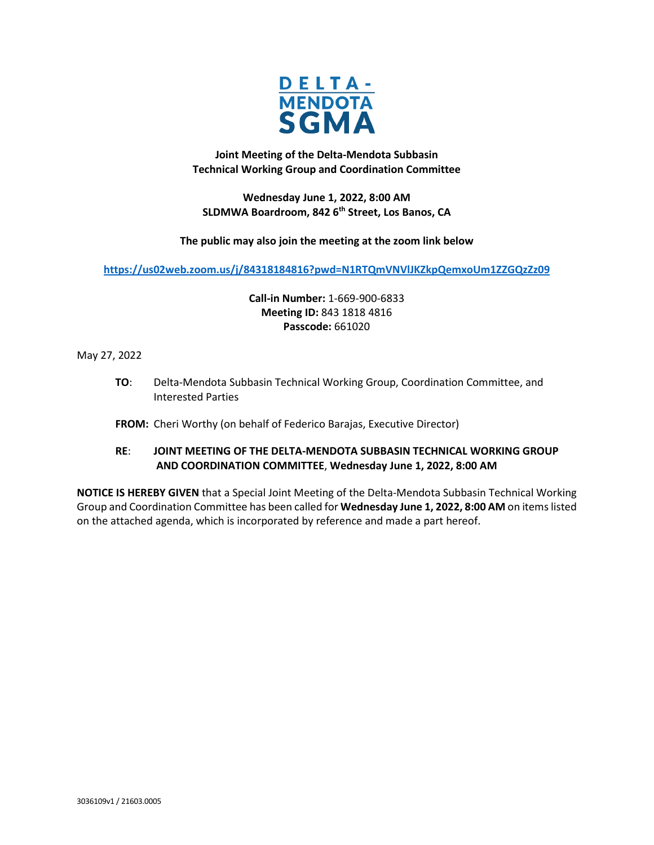

**Joint Meeting of the Delta-Mendota Subbasin Technical Working Group and Coordination Committee**

**Wednesday June 1, 2022, 8:00 AM SLDMWA Boardroom, 842 6th Street, Los Banos, CA**

**The public may also join the meeting at the zoom link below**

**<https://us02web.zoom.us/j/84318184816?pwd=N1RTQmVNVlJKZkpQemxoUm1ZZGQzZz09>**

**Call-in Number:** 1-669-900-6833 **Meeting ID:** 843 1818 4816 **Passcode:** 661020

May 27, 2022

**TO**: Delta-Mendota Subbasin Technical Working Group, Coordination Committee, and Interested Parties

**FROM:** Cheri Worthy (on behalf of Federico Barajas, Executive Director)

# **RE**: **JOINT MEETING OF THE DELTA-MENDOTA SUBBASIN TECHNICAL WORKING GROUP AND COORDINATION COMMITTEE**, **Wednesday June 1, 2022, 8:00 AM**

**NOTICE IS HEREBY GIVEN** that a Special Joint Meeting of the Delta-Mendota Subbasin Technical Working Group and Coordination Committee has been called for **Wednesday June 1, 2022, 8:00 AM** on items listed on the attached agenda, which is incorporated by reference and made a part hereof.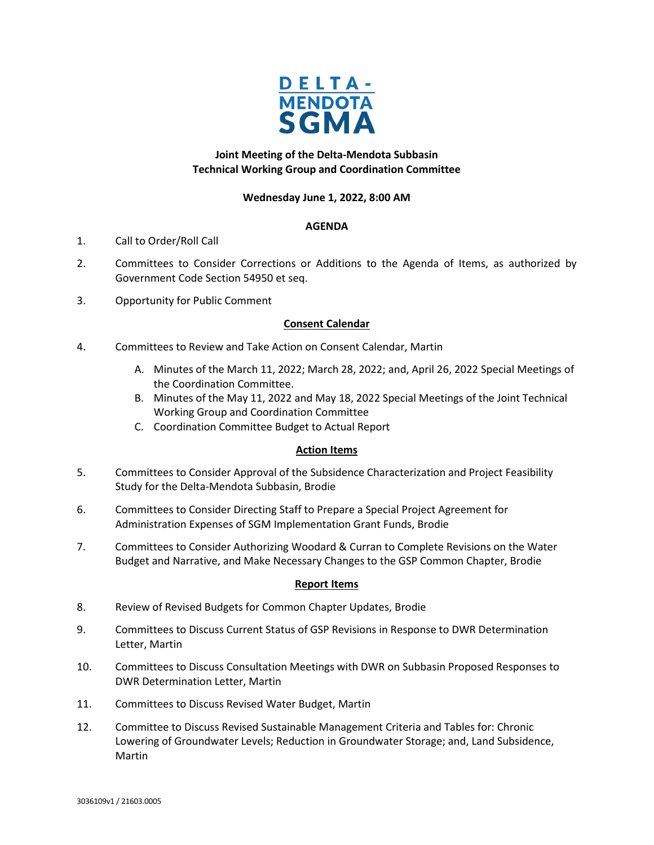

## **Joint Meeting of the Delta-Mendota Subbasin Technical Working Group and Coordination Committee**

## **Wednesday June 1, 2022, 8:00 AM**

## **AGENDA**

- 1. Call to Order/Roll Call
- 2. Committees to Consider Corrections or Additions to the Agenda of Items, as authorized by Government Code Section 54950 et seq.
- 3. Opportunity for Public Comment

## **Consent Calendar**

- 4. Committees to Review and Take Action on Consent Calendar, Martin
	- A. Minutes of the March 11, 2022; March 28, 2022; and, April 26, 2022 Special Meetings of the Coordination Committee.
	- B. Minutes of the May 11, 2022 and May 18, 2022 Special Meetings of the Joint Technical Working Group and Coordination Committee
	- C. Coordination Committee Budget to Actual Report

### **Action Items**

- 5. Committees to Consider Approval of the Subsidence Characterization and Project Feasibility Study for the Delta-Mendota Subbasin, Brodie
- 6. Committees to Consider Directing Staff to Prepare a Special Project Agreement for Administration Expenses of SGM Implementation Grant Funds, Brodie
- 7. Committees to Consider Authorizing Woodard & Curran to Complete Revisions on the Water Budget and Narrative, and Make Necessary Changes to the GSP Common Chapter, Brodie

### **Report Items**

- 8. Review of Revised Budgets for Common Chapter Updates, Brodie
- 9. Committees to Discuss Current Status of GSP Revisions in Response to DWR Determination Letter, Martin
- 10. Committees to Discuss Consultation Meetings with DWR on Subbasin Proposed Responses to DWR Determination Letter, Martin
- 11. Committees to Discuss Revised Water Budget, Martin
- 12. Committee to Discuss Revised Sustainable Management Criteria and Tables for: Chronic Lowering of Groundwater Levels; Reduction in Groundwater Storage; and, Land Subsidence, Martin